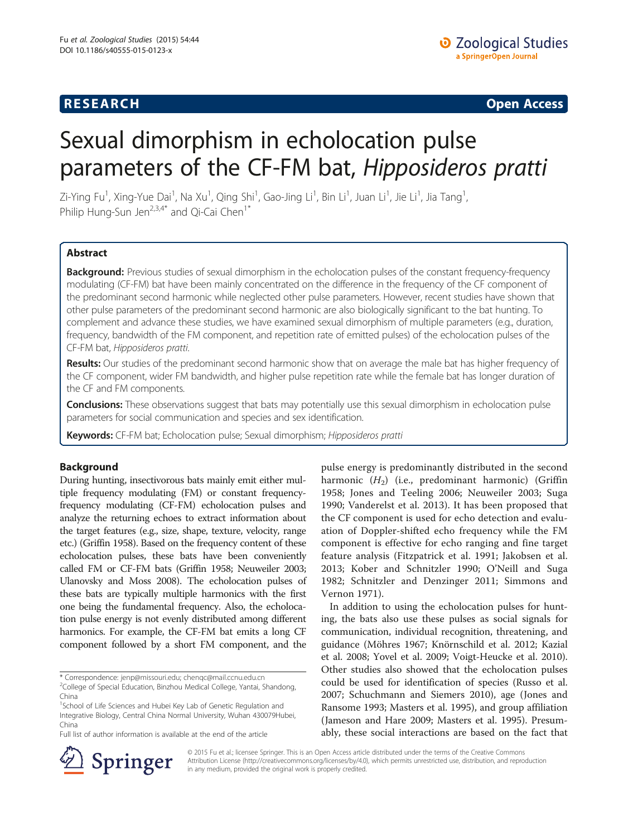# **RESEARCH RESEARCH CONSUMING ACCESS**

# Sexual dimorphism in echolocation pulse parameters of the CF-FM bat, Hipposideros pratti

Zi-Ying Fu<sup>1</sup>, Xing-Yue Dai<sup>1</sup>, Na Xu<sup>1</sup>, Qing Shi<sup>1</sup>, Gao-Jing Li<sup>1</sup>, Bin Li<sup>1</sup>, Juan Li<sup>1</sup>, Jie Li<sup>1</sup>, Jia Tang<sup>1</sup> , Philip Hung-Sun Jen<sup>2,3,4\*</sup> and Qi-Cai Chen<sup>1</sup><sup>\*</sup>

## Abstract

Background: Previous studies of sexual dimorphism in the echolocation pulses of the constant frequency-frequency modulating (CF-FM) bat have been mainly concentrated on the difference in the frequency of the CF component of the predominant second harmonic while neglected other pulse parameters. However, recent studies have shown that other pulse parameters of the predominant second harmonic are also biologically significant to the bat hunting. To complement and advance these studies, we have examined sexual dimorphism of multiple parameters (e.g., duration, frequency, bandwidth of the FM component, and repetition rate of emitted pulses) of the echolocation pulses of the CF-FM bat, Hipposideros pratti.

Results: Our studies of the predominant second harmonic show that on average the male bat has higher frequency of the CF component, wider FM bandwidth, and higher pulse repetition rate while the female bat has longer duration of the CF and FM components.

Conclusions: These observations suggest that bats may potentially use this sexual dimorphism in echolocation pulse parameters for social communication and species and sex identification.

Keywords: CF-FM bat; Echolocation pulse; Sexual dimorphism; Hipposideros pratti

## Background

During hunting, insectivorous bats mainly emit either multiple frequency modulating (FM) or constant frequencyfrequency modulating (CF-FM) echolocation pulses and analyze the returning echoes to extract information about the target features (e.g., size, shape, texture, velocity, range etc.) (Griffin [1958](#page-7-0)). Based on the frequency content of these echolocation pulses, these bats have been conveniently called FM or CF-FM bats (Griffin [1958](#page-7-0); Neuweiler [2003](#page-7-0); Ulanovsky and Moss [2008](#page-7-0)). The echolocation pulses of these bats are typically multiple harmonics with the first one being the fundamental frequency. Also, the echolocation pulse energy is not evenly distributed among different harmonics. For example, the CF-FM bat emits a long CF component followed by a short FM component, and the

pulse energy is predominantly distributed in the second harmonic  $(H_2)$  (i.e., predominant harmonic) (Griffin [1958;](#page-7-0) Jones and Teeling [2006](#page-7-0); Neuweiler [2003](#page-7-0); Suga [1990;](#page-7-0) Vanderelst et al. [2013\)](#page-7-0). It has been proposed that the CF component is used for echo detection and evaluation of Doppler-shifted echo frequency while the FM component is effective for echo ranging and fine target feature analysis (Fitzpatrick et al. [1991](#page-7-0); Jakobsen et al. [2013;](#page-7-0) Kober and Schnitzler [1990](#page-7-0); O'Neill and Suga [1982;](#page-7-0) Schnitzler and Denzinger [2011](#page-7-0); Simmons and Vernon [1971\)](#page-7-0).

In addition to using the echolocation pulses for hunting, the bats also use these pulses as social signals for communication, individual recognition, threatening, and guidance (Möhres [1967](#page-7-0); Knörnschild et al. [2012;](#page-7-0) Kazial et al. [2008](#page-7-0); Yovel et al. [2009;](#page-8-0) Voigt-Heucke et al. [2010](#page-8-0)). Other studies also showed that the echolocation pulses could be used for identification of species (Russo et al. [2007](#page-7-0); Schuchmann and Siemers [2010](#page-7-0)), age (Jones and Ransome [1993;](#page-7-0) Masters et al. [1995](#page-7-0)), and group affiliation (Jameson and Hare [2009;](#page-7-0) Masters et al. [1995\)](#page-7-0). Presumably, these social interactions are based on the fact that



© 2015 Fu et al.; licensee Springer. This is an Open Access article distributed under the terms of the Creative Commons Attribution License [\(http://creativecommons.org/licenses/by/4.0\)](http://creativecommons.org/licenses/by/4.0), which permits unrestricted use, distribution, and reproduction in any medium, provided the original work is properly credited.

<sup>\*</sup> Correspondence: [jenp@missouri.edu;](mailto:jenp@missouri.edu) [chenqc@mail.ccnu.edu.cn](mailto:chenqc@mail.ccnu.edu.cn) <sup>2</sup>

 $2$ College of Special Education, Binzhou Medical College, Yantai, Shandong, China

<sup>&</sup>lt;sup>1</sup>School of Life Sciences and Hubei Key Lab of Genetic Regulation and Integrative Biology, Central China Normal University, Wuhan 430079Hubei, China

Full list of author information is available at the end of the article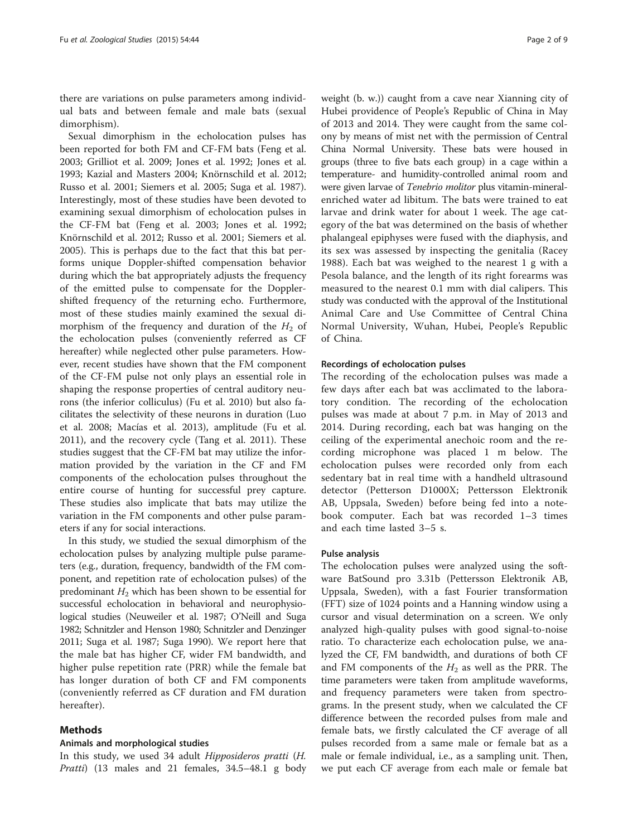there are variations on pulse parameters among individual bats and between female and male bats (sexual dimorphism).

Sexual dimorphism in the echolocation pulses has been reported for both FM and CF-FM bats (Feng et al. [2003](#page-7-0); Grilliot et al. [2009;](#page-7-0) Jones et al. [1992;](#page-7-0) Jones et al. [1993](#page-7-0); Kazial and Masters [2004](#page-7-0); Knörnschild et al. [2012](#page-7-0); Russo et al. [2001;](#page-7-0) Siemers et al. [2005;](#page-7-0) Suga et al. [1987](#page-7-0)). Interestingly, most of these studies have been devoted to examining sexual dimorphism of echolocation pulses in the CF-FM bat (Feng et al. [2003](#page-7-0); Jones et al. [1992](#page-7-0); Knörnschild et al. [2012](#page-7-0); Russo et al. [2001](#page-7-0); Siemers et al. [2005](#page-7-0)). This is perhaps due to the fact that this bat performs unique Doppler-shifted compensation behavior during which the bat appropriately adjusts the frequency of the emitted pulse to compensate for the Dopplershifted frequency of the returning echo. Furthermore, most of these studies mainly examined the sexual dimorphism of the frequency and duration of the  $H_2$  of the echolocation pulses (conveniently referred as CF hereafter) while neglected other pulse parameters. However, recent studies have shown that the FM component of the CF-FM pulse not only plays an essential role in shaping the response properties of central auditory neurons (the inferior colliculus) (Fu et al. [2010\)](#page-7-0) but also facilitates the selectivity of these neurons in duration (Luo et al. [2008;](#page-7-0) Macías et al. [2013](#page-7-0)), amplitude (Fu et al. [2011](#page-7-0)), and the recovery cycle (Tang et al. [2011\)](#page-7-0). These studies suggest that the CF-FM bat may utilize the information provided by the variation in the CF and FM components of the echolocation pulses throughout the entire course of hunting for successful prey capture. These studies also implicate that bats may utilize the variation in the FM components and other pulse parameters if any for social interactions.

In this study, we studied the sexual dimorphism of the echolocation pulses by analyzing multiple pulse parameters (e.g., duration, frequency, bandwidth of the FM component, and repetition rate of echolocation pulses) of the predominant  $H_2$  which has been shown to be essential for successful echolocation in behavioral and neurophysiological studies (Neuweiler et al. [1987](#page-7-0); O'Neill and Suga [1982](#page-7-0); Schnitzler and Henson [1980;](#page-7-0) Schnitzler and Denzinger [2011;](#page-7-0) Suga et al. [1987;](#page-7-0) Suga [1990](#page-7-0)). We report here that the male bat has higher CF, wider FM bandwidth, and higher pulse repetition rate (PRR) while the female bat has longer duration of both CF and FM components (conveniently referred as CF duration and FM duration hereafter).

## Methods

## Animals and morphological studies

In this study, we used 34 adult Hipposideros pratti (H. Pratti) (13 males and 21 females, 34.5–48.1 g body

weight (b. w.)) caught from a cave near Xianning city of Hubei providence of People's Republic of China in May of 2013 and 2014. They were caught from the same colony by means of mist net with the permission of Central China Normal University. These bats were housed in groups (three to five bats each group) in a cage within a temperature- and humidity-controlled animal room and were given larvae of Tenebrio molitor plus vitamin-mineralenriched water ad libitum. The bats were trained to eat larvae and drink water for about 1 week. The age category of the bat was determined on the basis of whether phalangeal epiphyses were fused with the diaphysis, and its sex was assessed by inspecting the genitalia (Racey [1988\)](#page-7-0). Each bat was weighed to the nearest 1 g with a Pesola balance, and the length of its right forearms was measured to the nearest 0.1 mm with dial calipers. This study was conducted with the approval of the Institutional Animal Care and Use Committee of Central China Normal University, Wuhan, Hubei, People's Republic of China.

## Recordings of echolocation pulses

The recording of the echolocation pulses was made a few days after each bat was acclimated to the laboratory condition. The recording of the echolocation pulses was made at about 7 p.m. in May of 2013 and 2014. During recording, each bat was hanging on the ceiling of the experimental anechoic room and the recording microphone was placed 1 m below. The echolocation pulses were recorded only from each sedentary bat in real time with a handheld ultrasound detector (Petterson D1000X; Pettersson Elektronik AB, Uppsala, Sweden) before being fed into a notebook computer. Each bat was recorded 1–3 times and each time lasted 3–5 s.

## Pulse analysis

The echolocation pulses were analyzed using the software BatSound pro 3.31b (Pettersson Elektronik AB, Uppsala, Sweden), with a fast Fourier transformation (FFT) size of 1024 points and a Hanning window using a cursor and visual determination on a screen. We only analyzed high-quality pulses with good signal-to-noise ratio. To characterize each echolocation pulse, we analyzed the CF, FM bandwidth, and durations of both CF and FM components of the  $H_2$  as well as the PRR. The time parameters were taken from amplitude waveforms, and frequency parameters were taken from spectrograms. In the present study, when we calculated the CF difference between the recorded pulses from male and female bats, we firstly calculated the CF average of all pulses recorded from a same male or female bat as a male or female individual, i.e., as a sampling unit. Then, we put each CF average from each male or female bat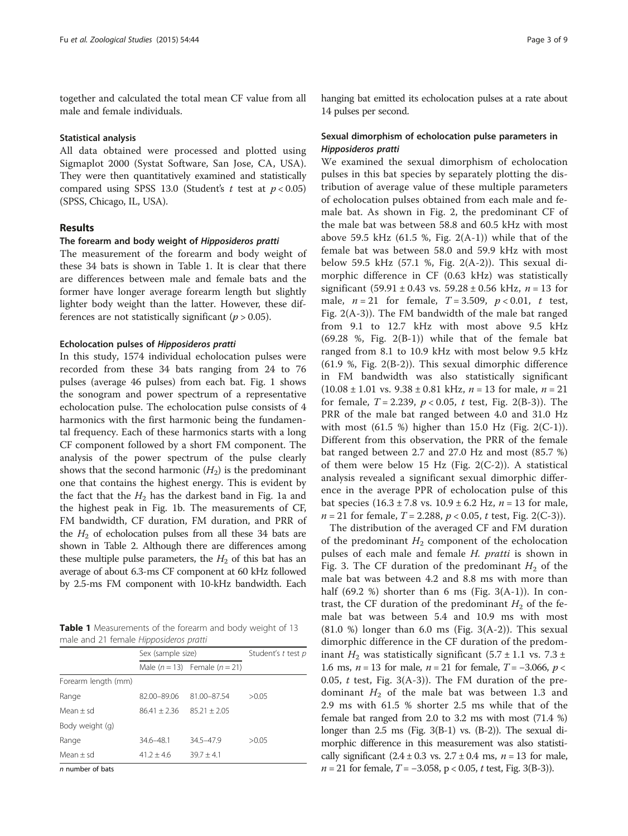<span id="page-2-0"></span>together and calculated the total mean CF value from all male and female individuals.

## Statistical analysis

All data obtained were processed and plotted using Sigmaplot 2000 (Systat Software, San Jose, CA, USA). They were then quantitatively examined and statistically compared using SPSS 13.0 (Student's t test at  $p < 0.05$ ) (SPSS, Chicago, IL, USA).

## Results

## The forearm and body weight of Hipposideros pratti

The measurement of the forearm and body weight of these 34 bats is shown in Table 1. It is clear that there are differences between male and female bats and the former have longer average forearm length but slightly lighter body weight than the latter. However, these differences are not statistically significant ( $p > 0.05$ ).

## Echolocation pulses of Hipposideros pratti

In this study, 1574 individual echolocation pulses were recorded from these 34 bats ranging from 24 to 76 pulses (average 46 pulses) from each bat. Fig. [1](#page-3-0) shows the sonogram and power spectrum of a representative echolocation pulse. The echolocation pulse consists of 4 harmonics with the first harmonic being the fundamental frequency. Each of these harmonics starts with a long CF component followed by a short FM component. The analysis of the power spectrum of the pulse clearly shows that the second harmonic  $(H_2)$  is the predominant one that contains the highest energy. This is evident by the fact that the  $H_2$  has the darkest band in Fig. [1](#page-3-0)a and the highest peak in Fig. [1](#page-3-0)b. The measurements of CF, FM bandwidth, CF duration, FM duration, and PRR of the  $H_2$  of echolocation pulses from all these 34 bats are shown in Table [2.](#page-3-0) Although there are differences among these multiple pulse parameters, the  $H_2$  of this bat has an average of about 6.3-ms CF component at 60 kHz followed by 2.5-ms FM component with 10-kHz bandwidth. Each

Table 1 Measurements of the forearm and body weight of 13 male and 21 female Hipposideros pratti

|                     | Sex (sample size) |                                   | Student's t test p |
|---------------------|-------------------|-----------------------------------|--------------------|
|                     |                   | Male $(n = 13)$ Female $(n = 21)$ |                    |
| Forearm length (mm) |                   |                                   |                    |
| Range               | 82.00-89.06       | 81.00-87.54                       | >0.05              |
| Mean $\pm$ sd       | $86.41 + 2.36$    | $85.21 \pm 2.05$                  |                    |
| Body weight (g)     |                   |                                   |                    |
| Range               | 34.6-48.1         | $34.5 - 47.9$                     | >0.05              |
| Mean $\pm$ sd       | $41.2 \pm 4.6$    | $39.7 \pm 4.1$                    |                    |

n number of bats

hanging bat emitted its echolocation pulses at a rate about 14 pulses per second.

## Sexual dimorphism of echolocation pulse parameters in Hipposideros pratti

We examined the sexual dimorphism of echolocation pulses in this bat species by separately plotting the distribution of average value of these multiple parameters of echolocation pulses obtained from each male and female bat. As shown in Fig. [2,](#page-4-0) the predominant CF of the male bat was between 58.8 and 60.5 kHz with most above 59.5 kHz (61.5 %, Fig. [2](#page-4-0)(A-1)) while that of the female bat was between 58.0 and 59.9 kHz with most below 59.5 kHz (57.1 %, Fig. [2](#page-4-0)(A-2)). This sexual dimorphic difference in CF (0.63 kHz) was statistically significant (59.91 ± 0.43 vs. 59.28 ± 0.56 kHz,  $n = 13$  for male,  $n = 21$  for female,  $T = 3.509$ ,  $p < 0.01$ , t test, Fig. [2\(](#page-4-0)A-3)). The FM bandwidth of the male bat ranged from 9.1 to 12.7 kHz with most above 9.5 kHz  $(69.28 \text{ %}, \text{Fig. 2(B-1)})$  $(69.28 \text{ %}, \text{Fig. 2(B-1)})$  $(69.28 \text{ %}, \text{Fig. 2(B-1)})$  while that of the female bat ranged from 8.1 to 10.9 kHz with most below 9.5 kHz (61.9 %, Fig. [2\(](#page-4-0)B-2)). This sexual dimorphic difference in FM bandwidth was also statistically significant  $(10.08 \pm 1.01 \text{ vs. } 9.38 \pm 0.81 \text{ kHz}, n = 13 \text{ for male}, n = 21$ for female,  $T = 2.239$  $T = 2.239$  $T = 2.239$ ,  $p < 0.05$ , t test, Fig. 2(B-3)). The PRR of the male bat ranged between 4.0 and 31.0 Hz with most (61.5 %) higher than 15.0 Hz (Fig. [2](#page-4-0)(C-1)). Different from this observation, the PRR of the female bat ranged between 2.7 and 27.0 Hz and most (85.7 %) of them were below 15 Hz (Fig.  $2(C-2)$ ). A statistical analysis revealed a significant sexual dimorphic difference in the average PPR of echolocation pulse of this bat species  $(16.3 \pm 7.8 \text{ vs. } 10.9 \pm 6.2 \text{ Hz}, n = 13 \text{ for male},$  $n = 21$  $n = 21$  $n = 21$  for female,  $T = 2.288$ ,  $p < 0.05$ , t test, Fig. 2(C-3)).

The distribution of the averaged CF and FM duration of the predominant  $H_2$  component of the echolocation pulses of each male and female *H. pratti* is shown in Fig. [3.](#page-5-0) The CF duration of the predominant  $H_2$  of the male bat was between 4.2 and 8.8 ms with more than half  $(69.2 \%)$  shorter than 6 ms (Fig. [3](#page-5-0)(A-1)). In contrast, the CF duration of the predominant  $H_2$  of the female bat was between 5.4 and 10.9 ms with most  $(81.0 \%)$  longer than 6.0 ms (Fig. [3](#page-5-0)(A-2)). This sexual dimorphic difference in the CF duration of the predominant  $H_2$  was statistically significant (5.7 ± 1.1 vs. 7.3 ± 1.6 ms,  $n = 13$  for male,  $n = 21$  for female,  $T = -3.066$ ,  $p <$ 0.05,  $t$  test, Fig. [3](#page-5-0)(A-3)). The FM duration of the predominant  $H_2$  of the male bat was between 1.3 and 2.9 ms with 61.5 % shorter 2.5 ms while that of the female bat ranged from 2.0 to 3.2 ms with most (71.4 %) longer than 2.5 ms (Fig. [3\(](#page-5-0)B-1) vs. (B-2)). The sexual dimorphic difference in this measurement was also statistically significant  $(2.4 \pm 0.3 \text{ vs. } 2.7 \pm 0.4 \text{ ms}, n = 13 \text{ for male},$  $n = 21$  for female,  $T = -3.058$ ,  $p < 0.05$ ,  $t$  test, Fig. [3\(](#page-5-0)B-3)).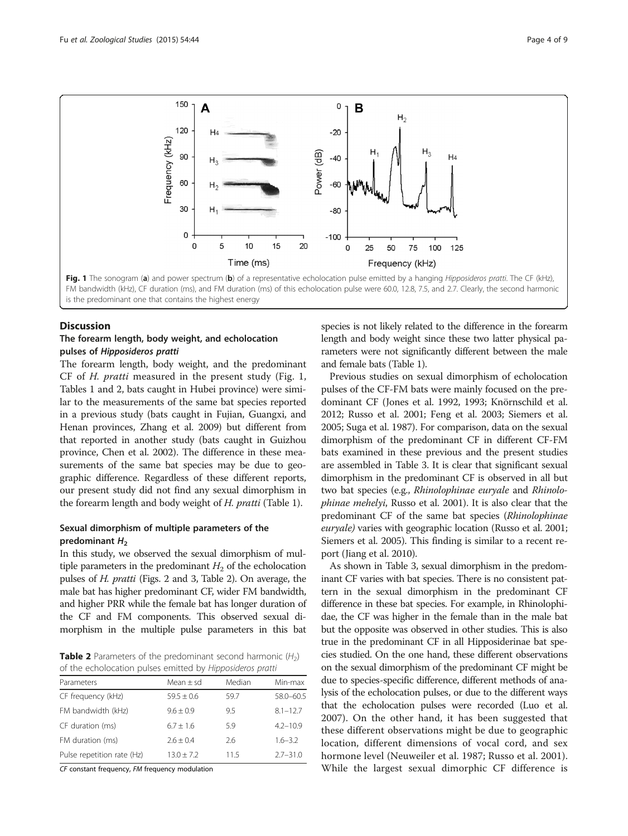<span id="page-3-0"></span>

is the predominant one that contains the highest energy

## **Discussion**

## The forearm length, body weight, and echolocation pulses of Hipposideros pratti

The forearm length, body weight, and the predominant CF of H. pratti measured in the present study (Fig. 1, Tables [1](#page-2-0) and 2, bats caught in Hubei province) were similar to the measurements of the same bat species reported in a previous study (bats caught in Fujian, Guangxi, and Henan provinces, Zhang et al. [2009](#page-8-0)) but different from that reported in another study (bats caught in Guizhou province, Chen et al. [2002](#page-7-0)). The difference in these measurements of the same bat species may be due to geographic difference. Regardless of these different reports, our present study did not find any sexual dimorphism in the forearm length and body weight of H. pratti (Table [1\)](#page-2-0).

## Sexual dimorphism of multiple parameters of the predominant  $H_2$

In this study, we observed the sexual dimorphism of multiple parameters in the predominant  $H_2$  of the echolocation pulses of H. pratti (Figs. [2](#page-4-0) and [3](#page-5-0), Table 2). On average, the male bat has higher predominant CF, wider FM bandwidth, and higher PRR while the female bat has longer duration of the CF and FM components. This observed sexual dimorphism in the multiple pulse parameters in this bat

**Table 2** Parameters of the predominant second harmonic  $(H_2)$ of the echolocation pulses emitted by Hipposideros pratti

| Parameters                 | Mean $\pm$ sd  | Median | Min-max      |
|----------------------------|----------------|--------|--------------|
| CF frequency (kHz)         | $59.5 \pm 0.6$ | 59.7   | 58.0-60.5    |
| FM bandwidth (kHz)         | $9.6 + 0.9$    | 9.5    | $8.1 - 12.7$ |
| CF duration (ms)           | $6.7 + 1.6$    | 5.9    | $4.2 - 10.9$ |
| FM duration (ms)           | $2.6 + 0.4$    | 2.6    | $1.6 - 3.2$  |
| Pulse repetition rate (Hz) | $13.0 + 7.2$   | 11.5   | $2.7 - 31.0$ |

CF constant frequency, FM frequency modulation

species is not likely related to the difference in the forearm length and body weight since these two latter physical parameters were not significantly different between the male and female bats (Table [1](#page-2-0)).

Previous studies on sexual dimorphism of echolocation pulses of the CF-FM bats were mainly focused on the predominant CF (Jones et al. [1992, 1993;](#page-7-0) Knörnschild et al. [2012](#page-7-0); Russo et al. [2001](#page-7-0); Feng et al. [2003](#page-7-0); Siemers et al. [2005](#page-7-0); Suga et al. [1987\)](#page-7-0). For comparison, data on the sexual dimorphism of the predominant CF in different CF-FM bats examined in these previous and the present studies are assembled in Table [3.](#page-6-0) It is clear that significant sexual dimorphism in the predominant CF is observed in all but two bat species (e.g., Rhinolophinae euryale and Rhinolophinae mehelyi, Russo et al. [2001](#page-7-0)). It is also clear that the predominant CF of the same bat species (Rhinolophinae euryale) varies with geographic location (Russo et al. [2001](#page-7-0); Siemers et al. [2005\)](#page-7-0). This finding is similar to a recent report (Jiang et al. [2010\)](#page-7-0).

As shown in Table [3,](#page-6-0) sexual dimorphism in the predominant CF varies with bat species. There is no consistent pattern in the sexual dimorphism in the predominant CF difference in these bat species. For example, in Rhinolophidae, the CF was higher in the female than in the male bat but the opposite was observed in other studies. This is also true in the predominant CF in all Hipposiderinae bat species studied. On the one hand, these different observations on the sexual dimorphism of the predominant CF might be due to species-specific difference, different methods of analysis of the echolocation pulses, or due to the different ways that the echolocation pulses were recorded (Luo et al. [2007\)](#page-7-0). On the other hand, it has been suggested that these different observations might be due to geographic location, different dimensions of vocal cord, and sex hormone level (Neuweiler et al. [1987](#page-7-0); Russo et al. [2001](#page-7-0)). While the largest sexual dimorphic CF difference is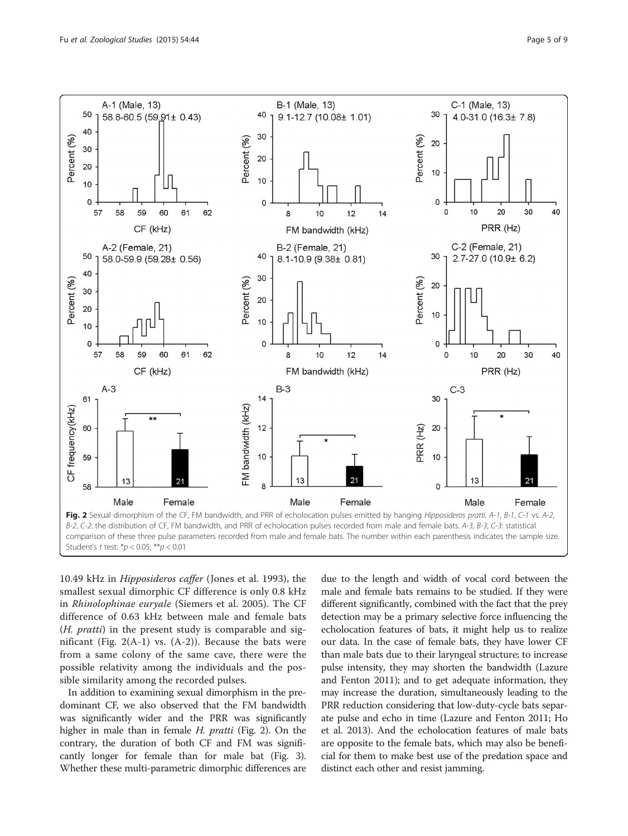<span id="page-4-0"></span>

10.49 kHz in Hipposideros caffer (Jones et al. [1993\)](#page-7-0), the smallest sexual dimorphic CF difference is only 0.8 kHz in Rhinolophinae euryale (Siemers et al. [2005\)](#page-7-0). The CF difference of 0.63 kHz between male and female bats (H. pratti) in the present study is comparable and significant (Fig.  $2(A-1)$  vs.  $(A-2)$ ). Because the bats were from a same colony of the same cave, there were the possible relativity among the individuals and the possible similarity among the recorded pulses.

In addition to examining sexual dimorphism in the predominant CF, we also observed that the FM bandwidth was significantly wider and the PRR was significantly higher in male than in female H. pratti (Fig. 2). On the contrary, the duration of both CF and FM was significantly longer for female than for male bat (Fig. [3](#page-5-0)). Whether these multi-parametric dimorphic differences are

due to the length and width of vocal cord between the male and female bats remains to be studied. If they were different significantly, combined with the fact that the prey detection may be a primary selective force influencing the echolocation features of bats, it might help us to realize our data. In the case of female bats, they have lower CF than male bats due to their laryngeal structure; to increase pulse intensity, they may shorten the bandwidth (Lazure and Fenton [2011](#page-7-0)); and to get adequate information, they may increase the duration, simultaneously leading to the PRR reduction considering that low-duty-cycle bats separate pulse and echo in time (Lazure and Fenton [2011](#page-7-0); Ho et al. [2013\)](#page-7-0). And the echolocation features of male bats are opposite to the female bats, which may also be beneficial for them to make best use of the predation space and distinct each other and resist jamming.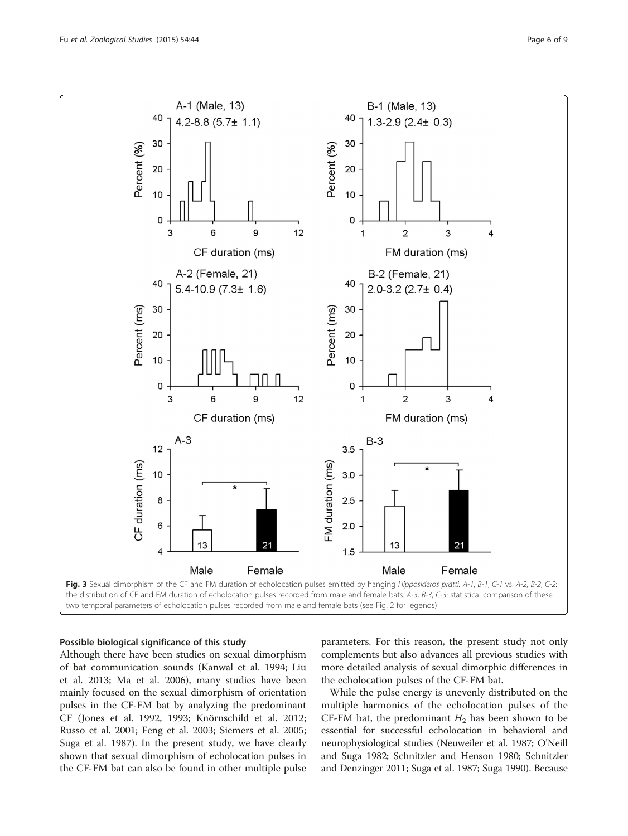<span id="page-5-0"></span>

## Possible biological significance of this study

Although there have been studies on sexual dimorphism of bat communication sounds (Kanwal et al. [1994;](#page-7-0) Liu et al. [2013](#page-7-0); Ma et al. [2006](#page-7-0)), many studies have been mainly focused on the sexual dimorphism of orientation pulses in the CF-FM bat by analyzing the predominant CF (Jones et al. [1992, 1993;](#page-7-0) Knörnschild et al. [2012](#page-7-0); Russo et al. [2001;](#page-7-0) Feng et al. [2003](#page-7-0); Siemers et al. [2005](#page-7-0); Suga et al. [1987\)](#page-7-0). In the present study, we have clearly shown that sexual dimorphism of echolocation pulses in the CF-FM bat can also be found in other multiple pulse

parameters. For this reason, the present study not only complements but also advances all previous studies with more detailed analysis of sexual dimorphic differences in the echolocation pulses of the CF-FM bat.

While the pulse energy is unevenly distributed on the multiple harmonics of the echolocation pulses of the CF-FM bat, the predominant  $H_2$  has been shown to be essential for successful echolocation in behavioral and neurophysiological studies (Neuweiler et al. [1987](#page-7-0); O'Neill and Suga [1982;](#page-7-0) Schnitzler and Henson [1980;](#page-7-0) Schnitzler and Denzinger [2011](#page-7-0); Suga et al. [1987;](#page-7-0) Suga [1990\)](#page-7-0). Because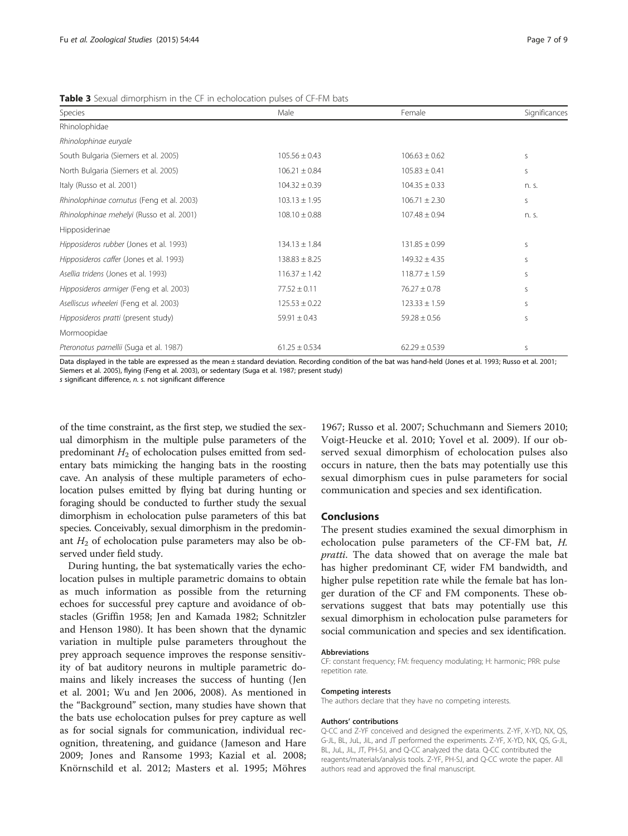| Species                                   | Male              | Female            | Significances |
|-------------------------------------------|-------------------|-------------------|---------------|
| Rhinolophidae                             |                   |                   |               |
| Rhinolophinae euryale                     |                   |                   |               |
| South Bulgaria (Siemers et al. 2005)      | $105.56 \pm 0.43$ | $106.63 \pm 0.62$ | S             |
| North Bulgaria (Siemers et al. 2005)      | $106.21 \pm 0.84$ | $105.83 \pm 0.41$ | S             |
| Italy (Russo et al. 2001)                 | $104.32 \pm 0.39$ | $104.35 \pm 0.33$ | n. s.         |
| Rhinolophinae cornutus (Feng et al. 2003) | $103.13 \pm 1.95$ | $106.71 \pm 2.30$ | <sub>S</sub>  |
| Rhinolophinae mehelyi (Russo et al. 2001) | $108.10 \pm 0.88$ | $107.48 \pm 0.94$ | n. s.         |
| Hipposiderinae                            |                   |                   |               |
| Hipposideros rubber (Jones et al. 1993)   | $134.13 \pm 1.84$ | $131.85 \pm 0.99$ | S             |
| Hipposideros caffer (Jones et al. 1993)   | $138.83 \pm 8.25$ | $149.32 \pm 4.35$ | S             |
| Asellia tridens (Jones et al. 1993)       | $116.37 \pm 1.42$ | $118.77 \pm 1.59$ | S             |
| Hipposideros armiger (Feng et al. 2003)   | $77.52 \pm 0.11$  | $76.27 \pm 0.78$  | S             |
| Aselliscus wheeleri (Feng et al. 2003)    | $125.53 \pm 0.22$ | $123.33 \pm 1.59$ | S             |
| Hipposideros pratti (present study)       | $59.91 \pm 0.43$  | $59.28 \pm 0.56$  | S             |
| Mormoopidae                               |                   |                   |               |
| Pteronotus parnellii (Suga et al. 1987)   | $61.25 \pm 0.534$ | $62.29 \pm 0.539$ | S             |

<span id="page-6-0"></span>**Table 3** Sexual dimorphism in the CF in echolocation pulses of CF-FM bats

Data displayed in the table are expressed as the mean ± standard deviation. Recording condition of the bat was hand-held (Jones et al. [1993](#page-7-0); Russo et al. [2001;](#page-7-0) Siemers et al. [2005](#page-7-0)), flying (Feng et al. [2003\)](#page-7-0), or sedentary (Suga et al. [1987](#page-7-0); present study)

s significant difference, n. s. not significant difference

of the time constraint, as the first step, we studied the sexual dimorphism in the multiple pulse parameters of the predominant  $H_2$  of echolocation pulses emitted from sedentary bats mimicking the hanging bats in the roosting cave. An analysis of these multiple parameters of echolocation pulses emitted by flying bat during hunting or foraging should be conducted to further study the sexual dimorphism in echolocation pulse parameters of this bat species. Conceivably, sexual dimorphism in the predominant  $H_2$  of echolocation pulse parameters may also be observed under field study.

During hunting, the bat systematically varies the echolocation pulses in multiple parametric domains to obtain as much information as possible from the returning echoes for successful prey capture and avoidance of obstacles (Griffin [1958](#page-7-0); Jen and Kamada [1982;](#page-7-0) Schnitzler and Henson [1980](#page-7-0)). It has been shown that the dynamic variation in multiple pulse parameters throughout the prey approach sequence improves the response sensitivity of bat auditory neurons in multiple parametric domains and likely increases the success of hunting (Jen et al. [2001;](#page-7-0) Wu and Jen [2006, 2008\)](#page-8-0). As mentioned in the "Background" section, many studies have shown that the bats use echolocation pulses for prey capture as well as for social signals for communication, individual recognition, threatening, and guidance (Jameson and Hare [2009;](#page-7-0) Jones and Ransome [1993](#page-7-0); Kazial et al. [2008](#page-7-0); Knörnschild et al. [2012;](#page-7-0) Masters et al. [1995;](#page-7-0) Möhres [1967;](#page-7-0) Russo et al. [2007](#page-7-0); Schuchmann and Siemers [2010](#page-7-0); Voigt-Heucke et al. [2010;](#page-8-0) Yovel et al. [2009\)](#page-8-0). If our observed sexual dimorphism of echolocation pulses also occurs in nature, then the bats may potentially use this sexual dimorphism cues in pulse parameters for social communication and species and sex identification.

## Conclusions

The present studies examined the sexual dimorphism in echolocation pulse parameters of the CF-FM bat, H. pratti. The data showed that on average the male bat has higher predominant CF, wider FM bandwidth, and higher pulse repetition rate while the female bat has longer duration of the CF and FM components. These observations suggest that bats may potentially use this sexual dimorphism in echolocation pulse parameters for social communication and species and sex identification.

#### Abbreviations

CF: constant frequency; FM: frequency modulating; H: harmonic; PRR: pulse repetition rate.

#### Competing interests

The authors declare that they have no competing interests.

## Authors' contributions

Q-CC and Z-YF conceived and designed the experiments. Z-YF, X-YD, NX, QS, G-JL, BL, JuL, JiL, and JT performed the experiments. Z-YF, X-YD, NX, QS, G-JL, BL, JuL, JiL, JT, PH-SJ, and Q-CC analyzed the data. Q-CC contributed the reagents/materials/analysis tools. Z-YF, PH-SJ, and Q-CC wrote the paper. All authors read and approved the final manuscript.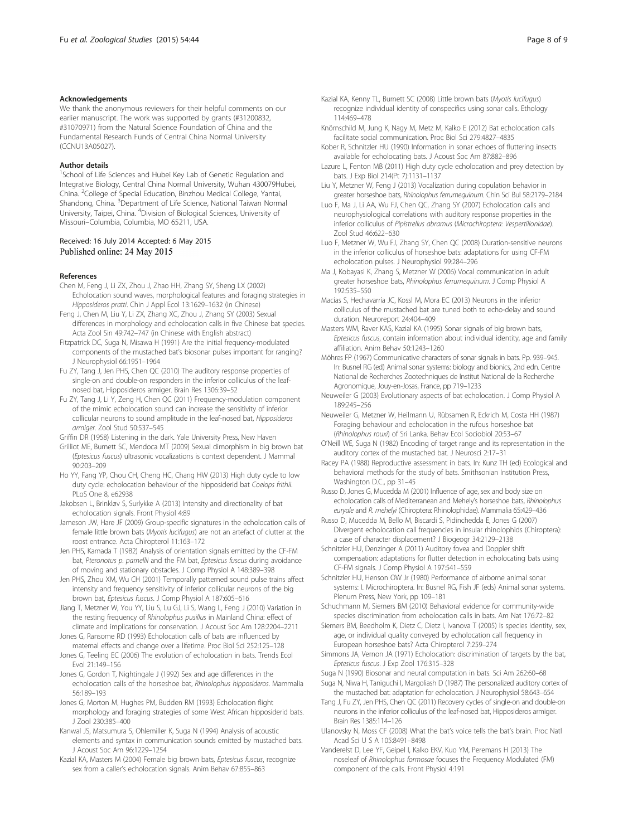#### <span id="page-7-0"></span>Acknowledgements

We thank the anonymous reviewers for their helpful comments on our earlier manuscript. The work was supported by grants (#31200832, #31070971) from the Natural Science Foundation of China and the Fundamental Research Funds of Central China Normal University (CCNU13A05027).

#### Author details

<sup>1</sup>School of Life Sciences and Hubei Key Lab of Genetic Regulation and Integrative Biology, Central China Normal University, Wuhan 430079Hubei, China. <sup>2</sup>College of Special Education, Binzhou Medical College, Yantai, Shandong, China. <sup>3</sup>Department of Life Science, National Taiwan Normal University, Taipei, China. <sup>4</sup>Division of Biological Sciences, University of Missouri–Columbia, Columbia, MO 65211, USA.

#### Received: 16 July 2014 Accepted: 6 May 2015 Published online: 24 May 2015

#### References

- Chen M, Feng J, Li ZX, Zhou J, Zhao HH, Zhang SY, Sheng LX (2002) Echolocation sound waves, morphological features and foraging strategies in Hipposideros pratti. Chin J Appl Ecol 13:1629–1632 (in Chinese)
- Feng J, Chen M, Liu Y, Li ZX, Zhang XC, Zhou J, Zhang SY (2003) Sexual differences in morphology and echolocation calls in five Chinese bat species. Acta Zool Sin 49:742–747 (in Chinese with English abstract)
- Fitzpatrick DC, Suga N, Misawa H (1991) Are the initial frequency-modulated components of the mustached bat's biosonar pulses important for ranging? J Neurophysiol 66:1951–1964
- Fu ZY, Tang J, Jen PHS, Chen QC (2010) The auditory response properties of single-on and double-on responders in the inferior colliculus of the leafnosed bat, Hipposideros armiger. Brain Res 1306:39–52
- Fu ZY, Tang J, Li Y, Zeng H, Chen QC (2011) Frequency-modulation component of the mimic echolocation sound can increase the sensitivity of inferior collicular neurons to sound amplitude in the leaf-nosed bat, Hipposideros armiger. Zool Stud 50:537–545
- Griffin DR (1958) Listening in the dark. Yale University Press, New Haven
- Grilliot ME, Burnett SC, Mendoca MT (2009) Sexual dimorphism in big brown bat (Eptesicus fuscus) ultrasonic vocalizations is context dependent. J Mammal 90:203–209
- Ho YY, Fang YP, Chou CH, Cheng HC, Chang HW (2013) High duty cycle to low duty cycle: echolocation behaviour of the hipposiderid bat Coelops frithii. PLoS One 8, e62938
- Jakobsen L, Brinkløv S, Surlykke A (2013) Intensity and directionality of bat echolocation signals. Front Physiol 4:89
- Jameson JW, Hare JF (2009) Group-specific signatures in the echolocation calls of female little brown bats (Myotis lucifugus) are not an artefact of clutter at the roost entrance. Acta Chiropterol 11:163–172
- Jen PHS, Kamada T (1982) Analysis of orientation signals emitted by the CF-FM bat, Pteronotus p. parnellii and the FM bat, Eptesicus fuscus during avoidance of moving and stationary obstacles. J Comp Physiol A 148:389–398
- Jen PHS, Zhou XM, Wu CH (2001) Temporally patterned sound pulse trains affect intensity and frequency sensitivity of inferior collicular neurons of the big brown bat, Eptesicus fuscus. J Comp Physiol A 187:605–616
- Jiang T, Metzner W, You YY, Liu S, Lu GJ, Li S, Wang L, Feng J (2010) Variation in the resting frequency of Rhinolophus pusillus in Mainland China: effect of climate and implications for conservation. J Acoust Soc Am 128:2204–2211
- Jones G, Ransome RD (1993) Echolocation calls of bats are influenced by maternal effects and change over a lifetime. Proc Biol Sci 252:125–128
- Jones G, Teeling EC (2006) The evolution of echolocation in bats. Trends Ecol Evol 21:149–156
- Jones G, Gordon T, Nightingale J (1992) Sex and age differences in the echolocation calls of the horseshoe bat, Rhinolophus hipposideros. Mammalia 56:189–193
- Jones G, Morton M, Hughes PM, Budden RM (1993) Echolocation flight morphology and foraging strategies of some West African hipposiderid bats. J Zool 230:385–400
- Kanwal JS, Matsumura S, Ohlemiller K, Suga N (1994) Analysis of acoustic elements and syntax in communication sounds emitted by mustached bats. J Acoust Soc Am 96:1229–1254
- Kazial KA, Masters M (2004) Female big brown bats, Eptesicus fuscus, recognize sex from a caller's echolocation signals. Anim Behav 67:855–863
- Kazial KA, Kenny TL, Burnett SC (2008) Little brown bats (Myotis lucifugus) recognize individual identity of conspecifics using sonar calls. Ethology 114:469–478
- Knörnschild M, Jung K, Nagy M, Metz M, Kalko E (2012) Bat echolocation calls facilitate social communication. Proc Biol Sci 279:4827–4835
- Kober R, Schnitzler HU (1990) Information in sonar echoes of fluttering insects available for echolocating bats. J Acoust Soc Am 87:882–896
- Lazure L, Fenton MB (2011) High duty cycle echolocation and prey detection by bats. J Exp Biol 214(Pt 7):1131–1137
- Liu Y, Metzner W, Feng J (2013) Vocalization during copulation behavior in greater horseshoe bats, Rhinolophus ferrumequinum. Chin Sci Bul 58:2179–2184
- Luo F, Ma J, Li AA, Wu FJ, Chen QC, Zhang SY (2007) Echolocation calls and neurophysiological correlations with auditory response properties in the inferior colliculus of Pipistrellus abramus (Microchiroptera: Vespertilionidae). Zool Stud 46:622–630
- Luo F, Metzner W, Wu FJ, Zhang SY, Chen QC (2008) Duration-sensitive neurons in the inferior colliculus of horseshoe bats: adaptations for using CF-FM echolocation pulses. J Neurophysiol 99:284–296
- Ma J, Kobayasi K, Zhang S, Metzner W (2006) Vocal communication in adult greater horseshoe bats, Rhinolophus ferrumequinum. J Comp Physiol A 192:535–550
- Macías S, Hechavarría JC, Kossl M, Mora EC (2013) Neurons in the inferior colliculus of the mustached bat are tuned both to echo-delay and sound duration. Neuroreport 24:404–409
- Masters WM, Raver KAS, Kazial KA (1995) Sonar signals of big brown bats, Eptesicus fuscus, contain information about individual identity, age and family affiliation. Anim Behav 50:1243–1260
- Möhres FP (1967) Communicative characters of sonar signals in bats. Pp. 939–945. In: Busnel RG (ed) Animal sonar systems: biology and bionics, 2nd edn. Centre National de Recherches Zootechniques de Institut National de la Recherche Agronomique, Jouy-en-Josas, France, pp 719–1233
- Neuweiler G (2003) Evolutionary aspects of bat echolocation. J Comp Physiol A 189:245–256
- Neuweiler G, Metzner W, Heilmann U, Rübsamen R, Eckrich M, Costa HH (1987) Foraging behaviour and echolocation in the rufous horseshoe bat (Rhinolophus rouxi) of Sri Lanka. Behav Ecol Sociobiol 20:53–67
- O'Neill WE, Suga N (1982) Encoding of target range and its representation in the auditory cortex of the mustached bat. J Neurosci 2:17–31
- Racey PA (1988) Reproductive assessment in bats. In: Kunz TH (ed) Ecological and behavioral methods for the study of bats. Smithsonian Institution Press, Washington D.C., pp 31–45
- Russo D, Jones G, Mucedda M (2001) Influence of age, sex and body size on echolocation calls of Mediterranean and Mehely's horseshoe bats, Rhinolophus euryale and R. mehelyi (Chiroptera: Rhinolophidae). Mammalia 65:429–436
- Russo D, Mucedda M, Bello M, Biscardi S, Pidinchedda E, Jones G (2007) Divergent echolocation call frequencies in insular rhinolophids (Chiroptera): a case of character displacement? J Biogeogr 34:2129–2138
- Schnitzler HU, Denzinger A (2011) Auditory fovea and Doppler shift compensation: adaptations for flutter detection in echolocating bats using CF-FM signals. J Comp Physiol A 197:541–559
- Schnitzler HU, Henson OW Jr (1980) Performance of airborne animal sonar systems: I. Microchiroptera. In: Busnel RG, Fish JF (eds) Animal sonar systems. Plenum Press, New York, pp 109–181
- Schuchmann M, Siemers BM (2010) Behavioral evidence for community-wide species discrimination from echolocation calls in bats. Am Nat 176:72–82
- Siemers BM, Beedholm K, Dietz C, Dietz I, Ivanova T (2005) Is species identity, sex, age, or individual quality conveyed by echolocation call frequency in European horseshoe bats? Acta Chiropterol 7:259–274
- Simmons JA, Vernon JA (1971) Echolocation: discrimination of targets by the bat, Eptesicus fuscus. J Exp Zool 176:315–328
- Suga N (1990) Biosonar and neural computation in bats. Sci Am 262:60–68
- Suga N, Niwa H, Taniguchi I, Margoliash D (1987) The personalized auditory cortex of the mustached bat: adaptation for echolocation. J Neurophysiol 58:643–654
- Tang J, Fu ZY, Jen PHS, Chen QC (2011) Recovery cycles of single-on and double-on neurons in the inferior colliculus of the leaf-nosed bat, Hipposideros armiger. Brain Res 1385:114–126
- Ulanovsky N, Moss CF (2008) What the bat's voice tells the bat's brain. Proc Natl Acad Sci U S A 105:8491–8498
- Vanderelst D, Lee YF, Geipel I, Kalko EKV, Kuo YM, Peremans H (2013) The noseleaf of Rhinolophus formosae focuses the Frequency Modulated (FM) component of the calls. Front Physiol 4:191